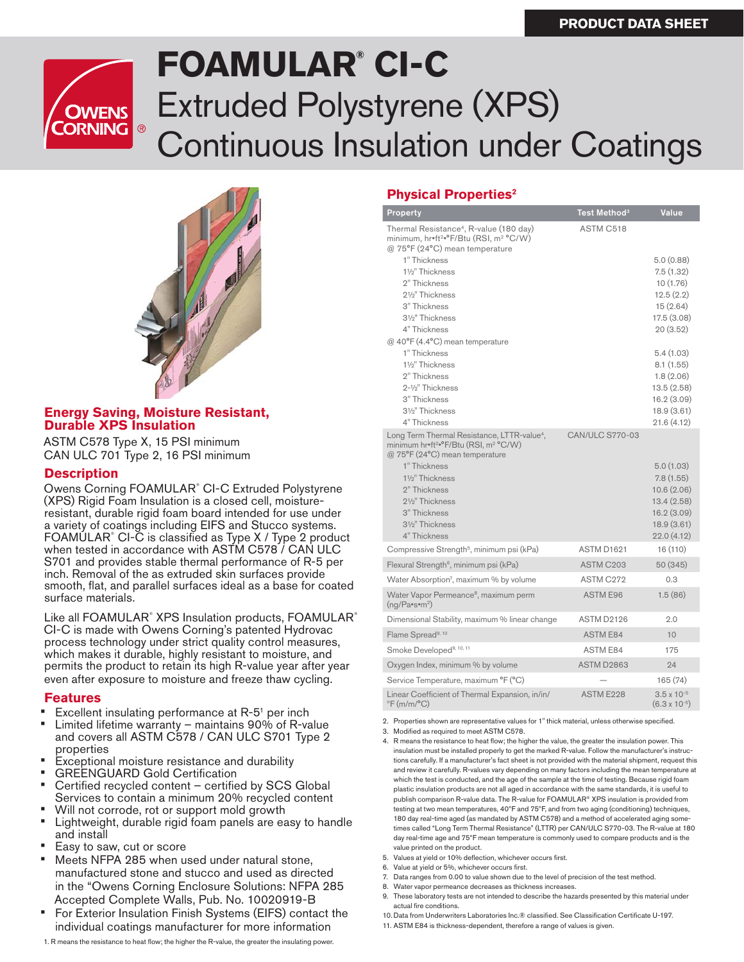

# **FOAMULAR® CI-C**  Extruded Polystyrene (XPS) Continuous Insulation under Coatings



#### **Energy Saving, Moisture Resistant, Durable XPS Insulation**

ASTM C578 Type X, 15 PSI minimum CAN ULC 701 Type 2, 16 PSI minimum

#### **Description**

Owens Corning FOAMULAR<sup>®</sup> CI-C Extruded Polystyrene (XPS) Rigid Foam Insulation is a closed cell, moistureresistant, durable rigid foam board intended for use under a variety of coatings including EIFS and Stucco systems. FOAMULAR<sup>®</sup> CI-C is classified as Type X / Type 2 product when tested in accordance with ASTM C578 / CAN ULC S701 and provides stable thermal performance of R-5 per inch. Removal of the as extruded skin surfaces provide smooth, flat, and parallel surfaces ideal as a base for coated surface materials.

Like all FOAMULAR® XPS Insulation products, FOAMULAR® CI-C is made with Owens Corning's patented Hydrovac process technology under strict quality control measures, which makes it durable, highly resistant to moisture, and permits the product to retain its high R-value year after year even after exposure to moisture and freeze thaw cycling.

#### **Features**

- Excellent insulating performance at R-5<sup>1</sup> per inch
- Limited lifetime warranty maintains 90% of R-value and covers all ASTM C578 / CAN ULC S701 Type 2 properties
- Exceptional moisture resistance and durability
- **GREENGUARD Gold Certification**
- Certified recycled content certified by SCS Global Services to contain a minimum 20% recycled content
- Will not corrode, rot or support mold growth
- Lightweight, durable rigid foam panels are easy to handle and install
- Easy to saw, cut or score
- Meets NFPA 285 when used under natural stone. manufactured stone and stucco and used as directed in the "Owens Corning Enclosure Solutions: NFPA 285 Accepted Complete Walls, Pub. No. 10020919-B
- For Exterior Insulation Finish Systems (EIFS) contact the individual coatings manufacturer for more information

1. R means the resistance to heat flow; the higher the R-value, the greater the insulating power.

## **Physical Properties2**

| Property                                                                                                                                                                                                                                                                                                               | Test Method <sup>3</sup> | Value                                                                                                                                                                     |
|------------------------------------------------------------------------------------------------------------------------------------------------------------------------------------------------------------------------------------------------------------------------------------------------------------------------|--------------------------|---------------------------------------------------------------------------------------------------------------------------------------------------------------------------|
| Thermal Resistance <sup>4</sup> , R-value (180 day)<br>minimum, hr=ft <sup>2</sup> =°F/Btu (RSI, m <sup>2</sup> °C/W)<br>@ 75°F (24°C) mean temperature                                                                                                                                                                | ASTM C518                |                                                                                                                                                                           |
| 1" Thickness<br>11/2" Thickness<br>2" Thickness<br>21/ <sub>2</sub> " Thickness<br>3" Thickness<br>31/ <sub>2</sub> " Thickness<br>4" Thickness<br>@ 40°F (4.4°C) mean temperature<br>1" Thickness<br>11/ <sub>2</sub> " Thickness<br>2" Thickness<br>2-1/ <sub>2</sub> " Thickness<br>3" Thickness<br>31/2" Thickness |                          | 5.0(0.88)<br>7.5(1.32)<br>10(1.76)<br>12.5(2.2)<br>15(2.64)<br>17.5 (3.08)<br>20(3.52)<br>5.4(1.03)<br>8.1(1.55)<br>1.8(2.06)<br>13.5 (2.58)<br>16.2 (3.09)<br>18.9(3.61) |
| 4" Thickness<br>Long Term Thermal Resistance, LTTR-value <sup>4</sup> ,                                                                                                                                                                                                                                                | <b>CAN/ULC S770-03</b>   | 21.6 (4.12)                                                                                                                                                               |
| minimum hr=ft <sup>2</sup> =°F/Btu (RSI, m <sup>2</sup> °C/W)<br>@ 75°F (24°C) mean temperature<br>1" Thickness<br>11/2" Thickness<br>2" Thickness<br>21/2" Thickness<br>3" Thickness<br>31/ <sub>2</sub> " Thickness<br>4" Thickness                                                                                  |                          | 5.0(1.03)<br>7.8(1.55)<br>10.6(2.06)<br>13.4(2.58)<br>16.2(3.09)<br>18.9(3.61)<br>22.0(4.12)                                                                              |
| Compressive Strength <sup>5</sup> , minimum psi (kPa)                                                                                                                                                                                                                                                                  | ASTM D1621               | 16 (110)                                                                                                                                                                  |
| Flexural Strength <sup>6</sup> , minimum psi (kPa)                                                                                                                                                                                                                                                                     | ASTM C <sub>203</sub>    | 50 (345)                                                                                                                                                                  |
| Water Absorption <sup>7</sup> , maximum % by volume                                                                                                                                                                                                                                                                    | ASTM C272                | 0.3                                                                                                                                                                       |
| Water Vapor Permeance <sup>8</sup> , maximum perm<br>$(nq/Pa$ "s" $m^2)$                                                                                                                                                                                                                                               | <b>ASTM E96</b>          | 1.5(86)                                                                                                                                                                   |
| Dimensional Stability, maximum % linear change                                                                                                                                                                                                                                                                         | ASTM D2126               | 2.0                                                                                                                                                                       |
| Flame Spread <sup>9, 10</sup>                                                                                                                                                                                                                                                                                          | <b>ASTM E84</b>          | 10                                                                                                                                                                        |
| Smoke Developed <sup>9, 10, 11</sup>                                                                                                                                                                                                                                                                                   | <b>ASTM E84</b>          | 175                                                                                                                                                                       |
| Oxygen Index, minimum % by volume                                                                                                                                                                                                                                                                                      | <b>ASTM D2863</b>        | 24                                                                                                                                                                        |
| Service Temperature, maximum °F (°C)                                                                                                                                                                                                                                                                                   |                          | 165 (74)                                                                                                                                                                  |
| Linear Coefficient of Thermal Expansion, in/in/<br>$\mathrm{P}F(m/m/\mathrm{P}C)$                                                                                                                                                                                                                                      | ASTM E228                | $3.5 \times 10^{-5}$<br>$(6.3 \times 10^{-5})$                                                                                                                            |

2. Properties shown are representative values for 1" thick material, unless otherwise specified.

- 3. Modified as required to meet ASTM C578.
- 4. R means the resistance to heat flow; the higher the value, the greater the insulation power. This insulation must be installed properly to get the marked R-value. Follow the manufacturer's instructions carefully. If a manufacturer's fact sheet is not provided with the material shipment, request this and review it carefully. R-values vary depending on many factors including the mean temperature at which the test is conducted, and the age of the sample at the time of testing. Because rigid foam plastic insulation products are not all aged in accordance with the same standards, it is useful to publish comparison R-value data. The R-value for FOAMULAR® XPS insulation is provided from testing at two mean temperatures, 40ºF and 75ºF, and from two aging (conditioning) techniques, 180 day real-time aged (as mandated by ASTM C578) and a method of accelerated aging sometimes called "Long Term Thermal Resistance" (LTTR) per CAN/ULC S770-03. The R-value at 180 day real-time age and 75ºF mean temperature is commonly used to compare products and is the value printed on the product.
- 5. Values at yield or 10% deflection, whichever occurs first.
- 6. Value at yield or 5%, whichever occurs first.
- 7. Data ranges from 0.00 to value shown due to the level of precision of the test method.
- 8. Water vapor permeance decreases as thickness increases.
- 9. These laboratory tests are not intended to describe the hazards presented by this material under actual fire conditions.
- 10. Data from Underwriters Laboratories Inc.® classified. See Classification Certificate U-197.
- 11. ASTM E84 is thickness-dependent, therefore a range of values is given.